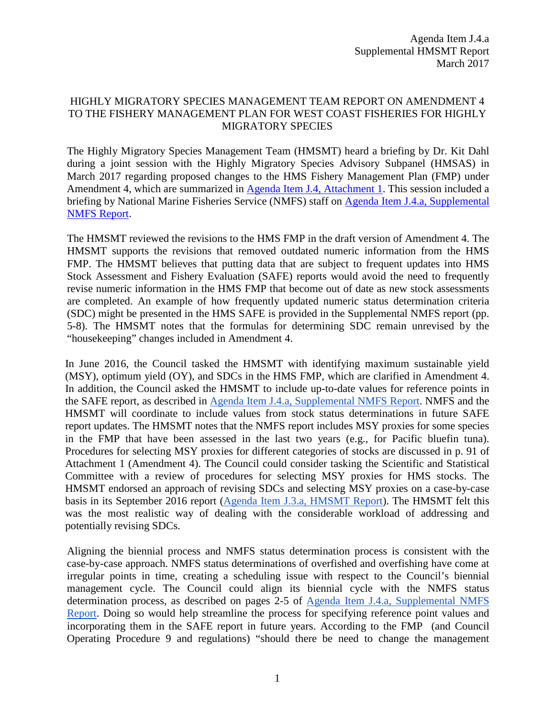## HIGHLY MIGRATORY SPECIES MANAGEMENT TEAM REPORT ON AMENDMENT 4 TO THE FISHERY MANAGEMENT PLAN FOR WEST COAST FISHERIES FOR HIGHLY MIGRATORY SPECIES

The Highly Migratory Species Management Team (HMSMT) heard a briefing by Dr. Kit Dahl during a joint session with the Highly Migratory Species Advisory Subpanel (HMSAS) in March 2017 regarding proposed changes to the HMS Fishery Management Plan (FMP) under Amendment 4, which are summarized in [Agenda Item J.4, Attachment 1.](http://www.pcouncil.org/wp-content/uploads/2017/02/J4_Att1_ElectricOnly_HMS_FMP_Amdmnt4Text_Mar2017BB.pdf) This session included a briefing by National Marine Fisheries Service (NMFS) staff on [Agenda Item J.4.a, Supplemental](http://www.pcouncil.org/wp-content/uploads/2017/03/J4a_Sup_NMFS_Rpt_Mar2017BB.pdf)  [NMFS Report.](http://www.pcouncil.org/wp-content/uploads/2017/03/J4a_Sup_NMFS_Rpt_Mar2017BB.pdf)

The HMSMT reviewed the revisions to the HMS FMP in the draft version of Amendment 4. The HMSMT supports the revisions that removed outdated numeric information from the HMS FMP. The HMSMT believes that putting data that are subject to frequent updates into HMS Stock Assessment and Fishery Evaluation (SAFE) reports would avoid the need to frequently revise numeric information in the HMS FMP that become out of date as new stock assessments are completed. An example of how frequently updated numeric status determination criteria (SDC) might be presented in the HMS SAFE is provided in the Supplemental NMFS report (pp. 5-8). The HMSMT notes that the formulas for determining SDC remain unrevised by the "housekeeping" changes included in Amendment 4.

In June 2016, the Council tasked the HMSMT with identifying maximum sustainable yield (MSY), optimum yield (OY), and SDCs in the HMS FMP, which are clarified in Amendment 4. In addition, the Council asked the HMSMT to include up-to-date values for reference points in the SAFE report, as described in [Agenda Item J.4.a, Supplemental NMFS Report.](http://www.pcouncil.org/wp-content/uploads/2017/03/J4a_Sup_NMFS_Rpt_Mar2017BB.pdf) NMFS and the HMSMT will coordinate to include values from stock status determinations in future SAFE report updates. The HMSMT notes that the NMFS report includes MSY proxies for some species in the FMP that have been assessed in the last two years (e.g., for Pacific bluefin tuna). Procedures for selecting MSY proxies for different categories of stocks are discussed in p. 91 of Attachment 1 (Amendment 4). The Council could consider tasking the Scientific and Statistical Committee with a review of procedures for selecting MSY proxies for HMS stocks. The HMSMT endorsed an approach of revising SDCs and selecting MSY proxies on a case-by-case basis in its September 2016 report [\(Agenda Item J.3.a, HMSMT](http://www.pcouncil.org/wp-content/uploads/2016/08/J3a_HMSMT_Rpt_Housekeeping_SEPT2016BB.pdf) Report). The HMSMT felt this was the most realistic way of dealing with the considerable workload of addressing and potentially revising SDCs.

Aligning the biennial process and NMFS status determination process is consistent with [the](http://www.pcouncil.org/wp-content/uploads/2017/03/J4a_Sup_NMFS_Rpt_Mar2017BB.pdf) [case-by-case](http://www.pcouncil.org/wp-content/uploads/2017/03/J4a_Sup_NMFS_Rpt_Mar2017BB.pdf) [approach](http://www.pcouncil.org/wp-content/uploads/2017/03/J4a_Sup_NMFS_Rpt_Mar2017BB.pdf). NMFS status determinations of overfished and overfishing have come at irregular points in time, creating a scheduling issue with respect to the Council's biennial management cycle. The Council could align its biennial cycle with the NMFS status determination process, as described on pages 2-5 of Agenda Item J.4.a, [Supplemental NMFS](http://www.pcouncil.org/wp-content/uploads/2017/03/J4a_Sup_NMFS_Rpt_Mar2017BB.pdf)  [Report.](http://www.pcouncil.org/wp-content/uploads/2017/03/J4a_Sup_NMFS_Rpt_Mar2017BB.pdf) Doing so would help streamline the process for specifying reference point values and incorporating them in the SAFE report in future years. [According to the FMP \(and C](http://www.pcouncil.org/wp-content/uploads/2017/03/J4a_Sup_NMFS_Rpt_Mar2017BB.pdf)ouncil Operating Procedure 9 and regulation[s\) "should there be need to change the management](http://www.pcouncil.org/wp-content/uploads/2017/03/J4a_Sup_NMFS_Rpt_Mar2017BB.pdf)